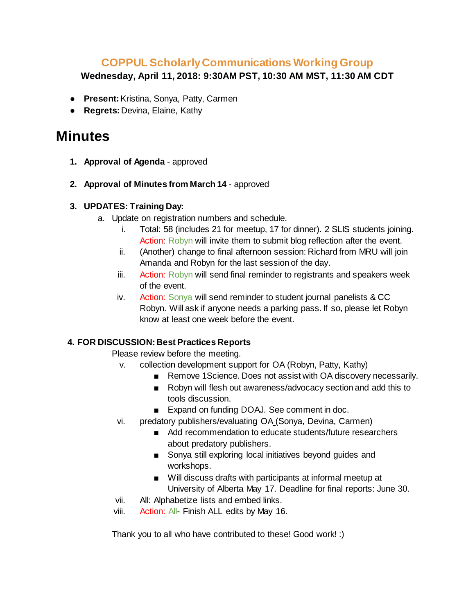# **COPPUL Scholarly Communications Working Group**

**Wednesday, April 11, 2018: 9:30AM PST, 10:30 AM MST, 11:30 AM CDT**

- **Present:** Kristina, Sonya, Patty, Carmen
- **Regrets:** Devina, Elaine, Kathy

# **Minutes**

- **1. Approval of Agenda** approved
- **2. Approval of Minutes from March 14** approved

### **3. UPDATES: Training Day:**

- a. Update on registration numbers and schedule.
	- i. Total: 58 (includes 21 for meetup, 17 for dinner). 2 SLIS students joining. Action: Robyn will invite them to submit blog reflection after the event.
	- ii. (Another) change to final afternoon session: Richard from MRU will join Amanda and Robyn for the last session of the day.
	- iii. Action: Robyn will send final reminder to registrants and speakers week of the event.
	- iv. Action: Sonya will send reminder to student journal panelists & CC Robyn. Will ask if anyone needs a parking pass. If so, please let Robyn know at least one week before the event.

## **4. FOR DISCUSSION: Best Practices Reports**

Please review before the meeting.

- v. collection development support for OA (Robyn, Patty, Kathy)
	- Remove 1Science. Does not assist with OA discovery necessarily.
	- Robyn will flesh out awareness/advocacy section and add this to tools discussion.
	- Expand on funding DOAJ. See comment in doc.
- vi. predatory publishers/evaluating OA (Sonya, Devina, Carmen)
	- Add recommendation to educate students/future researchers about predatory publishers.
	- Sonya still exploring local initiatives beyond guides and workshops.
	- Will discuss drafts with participants at informal meetup at University of Alberta May 17. Deadline for final reports: June 30.
- vii. All: Alphabetize lists and embed links.
- viii. Action: All- Finish ALL edits by May 16.

Thank you to all who have contributed to these! Good work! :)